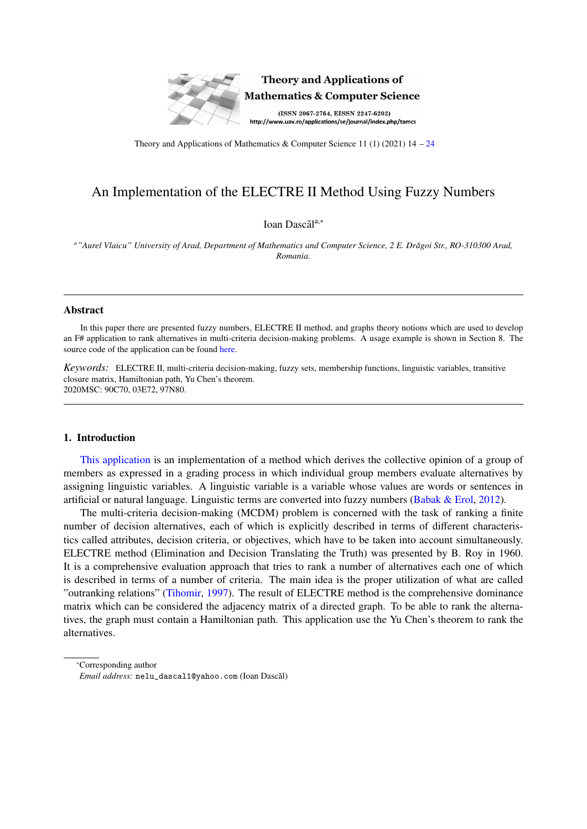

## **Theory and Applications of Mathematics & Computer Science**

(ISSN 2067-2764, EISSN 2247-6202) http://www.uav.ro/applications/se/journal/index.php/tamcs

Theory and Applications of Mathematics & Computer Science 11 (1) (2021)  $14 - 24$  $14 - 24$ 

# An Implementation of the ELECTRE II Method Using Fuzzy Numbers

Ioan Dascăl<sup>a,\*</sup>

*<sup>a</sup>"Aurel Vlaicu" University of Arad, Department of Mathematics and Computer Science, 2 E. Dr˘agoi Str., RO-310300 Arad, Romania.*

#### **Abstract**

In this paper there are presented fuzzy numbers, ELECTRE II method, and graphs theory notions which are used to develop an F# application to rank alternatives in multi-criteria decision-making problems. A usage example is shown in Section 8. The source code of the application can be found [here.](https://github.com/IoanDascal/FSharp/blob/master/Program.fs)

*Keywords:* ELECTRE II, multi-criteria decision-making, fuzzy sets, membership functions, linguistic variables, transitive closure matrix, Hamiltonian path, Yu Chen's theorem. 2020MSC: 90C70, 03E72, 97N80.

## 1. Introduction

[This application](https://github.com/IoanDascal/FSharp/blob/master/Program.fs) is an implementation of a method which derives the collective opinion of a group of members as expressed in a grading process in which individual group members evaluate alternatives by assigning linguistic variables. A linguistic variable is a variable whose values are words or sentences in artificial or natural language. Linguistic terms are converted into fuzzy numbers [\(Babak & Erol,](#page-10-1) [2012\)](#page-10-1).

The multi-criteria decision-making (MCDM) problem is concerned with the task of ranking a finite number of decision alternatives, each of which is explicitly described in terms of different characteristics called attributes, decision criteria, or objectives, which have to be taken into account simultaneously. ELECTRE method (Elimination and Decision Translating the Truth) was presented by B. Roy in 1960. It is a comprehensive evaluation approach that tries to rank a number of alternatives each one of which is described in terms of a number of criteria. The main idea is the proper utilization of what are called "outranking relations" [\(Tihomir,](#page-10-2) [1997\)](#page-10-2). The result of ELECTRE method is the comprehensive dominance matrix which can be considered the adjacency matrix of a directed graph. To be able to rank the alternatives, the graph must contain a Hamiltonian path. This application use the Yu Chen's theorem to rank the alternatives.

<sup>∗</sup>Corresponding author *Email address:* nelu\_dascal1@yahoo.com (Ioan Dascal) ˘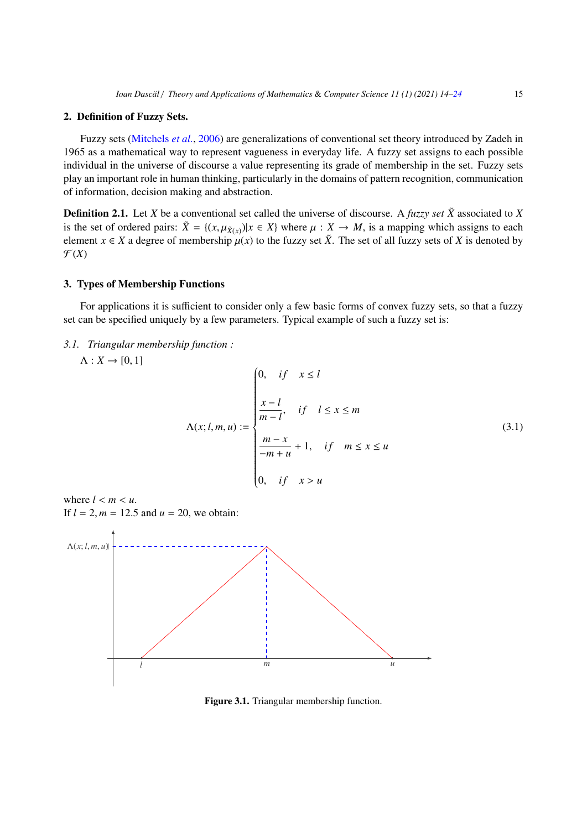## 2. Definition of Fuzzy Sets.

Fuzzy sets [\(Mitchels](#page-10-3) *et al.*, [2006\)](#page-10-3) are generalizations of conventional set theory introduced by Zadeh in 1965 as a mathematical way to represent vagueness in everyday life. A fuzzy set assigns to each possible individual in the universe of discourse a value representing its grade of membership in the set. Fuzzy sets play an important role in human thinking, particularly in the domains of pattern recognition, communication of information, decision making and abstraction.

**Definition 2.1.** Let *X* be a conventional set called the universe of discourse. A *fuzzy set*  $\tilde{X}$  associated to *X* is the set of ordered pairs:  $\tilde{X} = \{(x, \mu_{\tilde{X}(x)}) | x \in X\}$  where  $\mu : X \to M$ , is a mapping which assigns to each planett  $x \in X$  a degree of membership  $\mu(x)$  to the fuzzy set  $\tilde{Y}$ . The set of all fuzzy sets of X is de element  $x \in X$  a degree of membership  $\mu(x)$  to the fuzzy set  $\tilde{X}$ . The set of all fuzzy sets of *X* is denoted by  $\mathcal{F}(X)$ 

#### 3. Types of Membership Functions

For applications it is sufficient to consider only a few basic forms of convex fuzzy sets, so that a fuzzy set can be specified uniquely by a few parameters. Typical example of such a fuzzy set is:

*3.1. Triangular membership function :*

 $\Lambda: X \rightarrow [0, 1]$ 

$$
\Lambda(x; l, m, u) := \begin{cases}\n0, & if \quad x \le l \\
\frac{x - l}{m - l}, & if \quad l \le x \le m \\
\frac{m - x}{-m + u} + 1, & if \quad m \le x \le u \\
0, & if \quad x > u\n\end{cases}
$$
\n(3.1)

where  $l < m < u$ . If  $l = 2, m = 12.5$  and  $u = 20$ , we obtain:



Figure 3.1. Triangular membership function.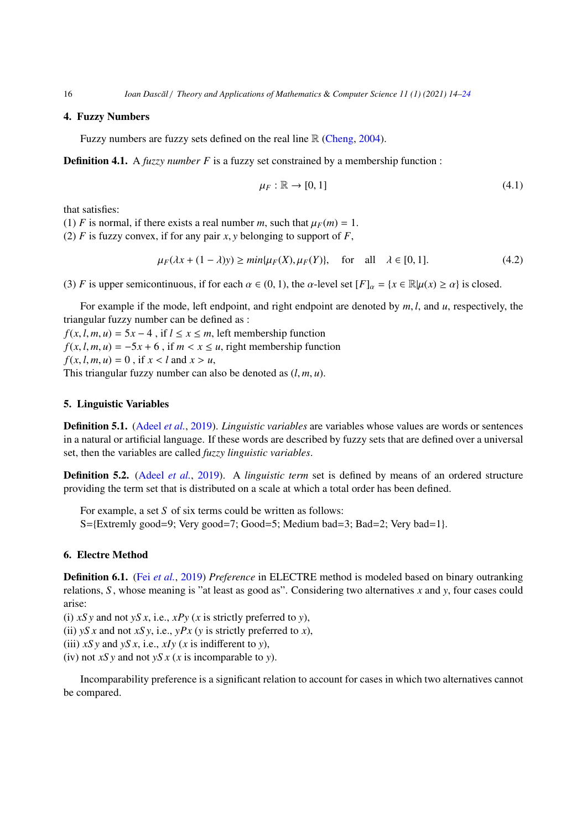16 *Ioan Dasc˘al* / *Theory and Applications of Mathematics* & *Computer Science 11 (1) (2021) 14[–24](#page-10-0)*

## 4. Fuzzy Numbers

Fuzzy numbers are fuzzy sets defined on the real line  $\mathbb R$  [\(Cheng,](#page-10-4) [2004\)](#page-10-4).

**Definition 4.1.** A *fuzzy number F* is a fuzzy set constrained by a membership function :

$$
\mu_F : \mathbb{R} \to [0, 1] \tag{4.1}
$$

that satisfies:

(1) *F* is normal, if there exists a real number *m*, such that  $\mu_F(m) = 1$ .

(2)  $F$  is fuzzy convex, if for any pair  $x$ ,  $y$  belonging to support of  $F$ ,

$$
\mu_F(\lambda x + (1 - \lambda)y) \ge \min\{\mu_F(X), \mu_F(Y)\}, \quad \text{for all} \quad \lambda \in [0, 1]. \tag{4.2}
$$

(3) *F* is upper semicontinuous, if for each  $\alpha \in (0, 1)$ , the  $\alpha$ -level set  $[F]_{\alpha} = \{x \in \mathbb{R} | \mu(x) \ge \alpha\}$  is closed.

For example if the mode, left endpoint, and right endpoint are denoted by *<sup>m</sup>*, *<sup>l</sup>*, and *<sup>u</sup>*, respectively, the triangular fuzzy number can be defined as :

 $f(x, l, m, u) = 5x - 4$ , if  $l \le x \le m$ , left membership function  $f(x, l, m, u) = -5x + 6$ , if  $m < x \le u$ , right membership function  $f(x, l, m, u) = 0$ , if  $x < l$  and  $x > u$ , This triangular fuzzy number can also be denoted as (*l*, *<sup>m</sup>*, *<sup>u</sup>*).

## 5. Linguistic Variables

Definition 5.1. [\(Adeel](#page-10-5) *et al.*, [2019\)](#page-10-5). *Linguistic variables* are variables whose values are words or sentences in a natural or artificial language. If these words are described by fuzzy sets that are defined over a universal set, then the variables are called *fuzzy linguistic variables*.

Definition 5.2. [\(Adeel](#page-10-5) *et al.*, [2019\)](#page-10-5). A *linguistic term* set is defined by means of an ordered structure providing the term set that is distributed on a scale at which a total order has been defined.

For example, a set *S* of six terms could be written as follows:  $S = \{Extremly good = 9; Very good = 7; Good = 5; Medium bad = 3; Bad = 2; Very bad = 1\}.$ 

### 6. Electre Method

Definition 6.1. (Fei *[et al.](#page-10-6)*, [2019\)](#page-10-6) *Preference* in ELECTRE method is modeled based on binary outranking relations, *S* , whose meaning is "at least as good as". Considering two alternatives *x* and *y*, four cases could arise:

(i) *xS y* and not *yS x*, i.e., *xPy* (*x* is strictly preferred to *y*),

(ii)  $yS x$  and not *xS* y, i.e.,  $yPx$  (*y* is strictly preferred to *x*),

(iii)  $xSy$  and  $ySx$ , i.e.,  $xIy$  (*x* is indifferent to *y*),

(iv) not *xS y* and not *yS x* (*x* is incomparable to *y*).

Incomparability preference is a significant relation to account for cases in which two alternatives cannot be compared.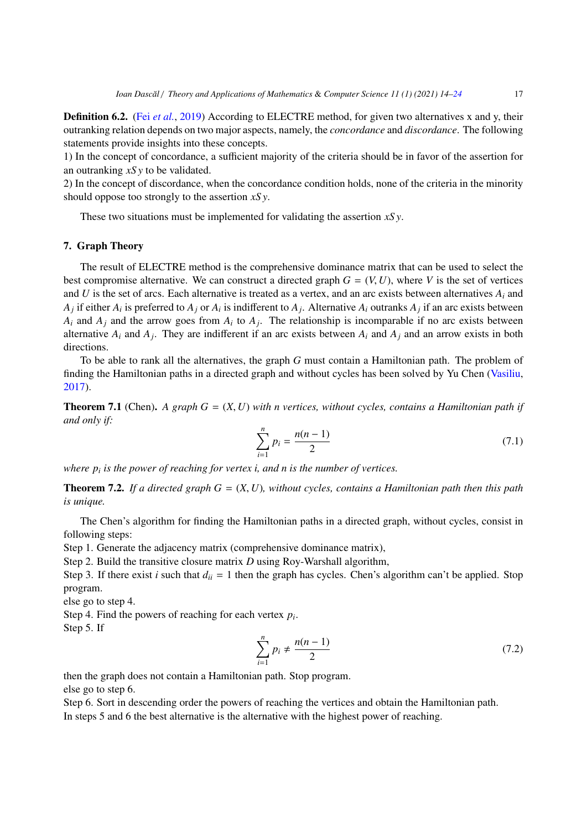**Definition 6.2.** (Fei *[et al.](#page-10-6)*, [2019\)](#page-10-6) According to ELECTRE method, for given two alternatives x and y, their outranking relation depends on two major aspects, namely, the *concordance* and *discordance*. The following statements provide insights into these concepts.

1) In the concept of concordance, a sufficient majority of the criteria should be in favor of the assertion for an outranking *xS y* to be validated.

2) In the concept of discordance, when the concordance condition holds, none of the criteria in the minority should oppose too strongly to the assertion *xS y*.

These two situations must be implemented for validating the assertion *xS y*.

## 7. Graph Theory

The result of ELECTRE method is the comprehensive dominance matrix that can be used to select the best compromise alternative. We can construct a directed graph  $G = (V, U)$ , where V is the set of vertices and *U* is the set of arcs. Each alternative is treated as a vertex, and an arc exists between alternatives  $A_i$  and  $A_j$  if either  $A_i$  is preferred to  $A_j$  or  $A_i$  is indifferent to  $A_j$ . Alternative  $A_i$  outranks  $A_j$  if an arc exists between  $A_i$  and  $A_j$  and the arrow goes from  $A_i$  to  $A_j$ . The relationship is incomparable if no arc exists between alternative  $A_i$  and  $A_j$ . They are indifferent if an arc exists between  $A_i$  and  $A_j$  and an arrow exists in both directions.

To be able to rank all the alternatives, the graph *G* must contain a Hamiltonian path. The problem of finding the Hamiltonian paths in a directed graph and without cycles has been solved by Yu Chen [\(Vasiliu,](#page-10-7) [2017\)](#page-10-7).

**Theorem 7.1** (Chen). A graph  $G = (X, U)$  with n vertices, without cycles, contains a Hamiltonian path if *and only if:*

$$
\sum_{i=1}^{n} p_i = \frac{n(n-1)}{2} \tag{7.1}
$$

*where p<sup>i</sup> is the power of reaching for vertex i, and n is the number of vertices.*

**Theorem 7.2.** If a directed graph  $G = (X, U)$ , without cycles, contains a Hamiltonian path then this path *is unique.*

The Chen's algorithm for finding the Hamiltonian paths in a directed graph, without cycles, consist in following steps:

Step 1. Generate the adjacency matrix (comprehensive dominance matrix),

Step 2. Build the transitive closure matrix *D* using Roy-Warshall algorithm,

Step 3. If there exist *i* such that  $d_{ii} = 1$  then the graph has cycles. Chen's algorithm can't be applied. Stop program.

else go to step 4.

Step 4. Find the powers of reaching for each vertex *p<sup>i</sup>* .

Step 5. If

$$
\sum_{i=1}^{n} p_i \neq \frac{n(n-1)}{2} \tag{7.2}
$$

then the graph does not contain a Hamiltonian path. Stop program.

else go to step 6.

Step 6. Sort in descending order the powers of reaching the vertices and obtain the Hamiltonian path. In steps 5 and 6 the best alternative is the alternative with the highest power of reaching.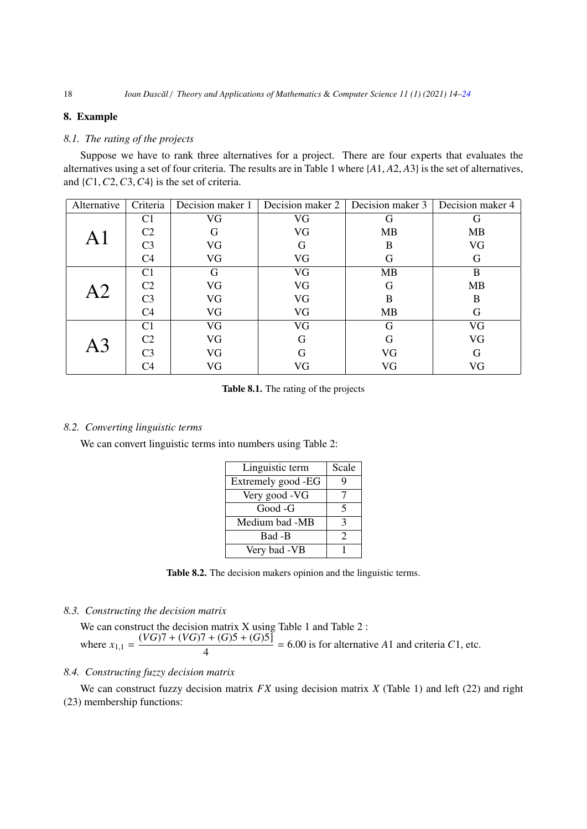## 8. Example

## *8.1. The rating of the projects*

Suppose we have to rank three alternatives for a project. There are four experts that evaluates the alternatives using a set of four criteria. The results are in Table 1 where {*A*1, *<sup>A</sup>*2, *<sup>A</sup>*3} is the set of alternatives, and {*C*1,*C*2,*C*3,*C*4} is the set of criteria.

| Alternative | Criteria       | Decision maker 1 | Decision maker 2 | Decision maker 3 | Decision maker 4 |
|-------------|----------------|------------------|------------------|------------------|------------------|
|             | C <sub>1</sub> | VG               | VG               | G                | G                |
|             | C <sub>2</sub> | G                | VG               | <b>MB</b>        | <b>MB</b>        |
|             | C <sub>3</sub> | VG               | G                | B                | VG               |
|             | C4             | VG               | VG               | G                | G                |
|             | C1             | G                | VG               | MB               | B                |
| A2          | C <sub>2</sub> | VG               | VG               | G                | <b>MB</b>        |
|             | C <sub>3</sub> | VG               | VG               | B                | B                |
|             | C4             | VG               | VG               | MB               | G                |
|             | C <sub>1</sub> | VG               | VG               | G                | VG               |
|             | C <sub>2</sub> | VG               | G                | G                | VG               |
|             | C <sub>3</sub> | VG               | G                | VG               | G                |
|             | C4             | VG               | VG               | VG               | VG               |

Table 8.1. The rating of the projects

#### *8.2. Converting linguistic terms*

We can convert linguistic terms into numbers using Table 2:

| Linguistic term    | Scale         |
|--------------------|---------------|
| Extremely good -EG | Q             |
| Very good -VG      |               |
| Good -G            | 5             |
| Medium bad -MB     | 3             |
| Bad -B             | $\mathcal{P}$ |
| Very bad -VB       |               |

Table 8.2. The decision makers opinion and the linguistic terms.

*8.3. Constructing the decision matrix*

We can construct the decision matrix X using Table 1 and Table 2 : where  $x_{1,1} = \frac{(VG)7 + (VG)7 + (G)5 + (G)5]}{4} = 6.00$  is for alternative *A*1 and criteria *C*1, etc. 4

## *8.4. Constructing fuzzy decision matrix*

We can construct fuzzy decision matrix *FX* using decision matrix *X* (Table 1) and left (22) and right (23) membership functions: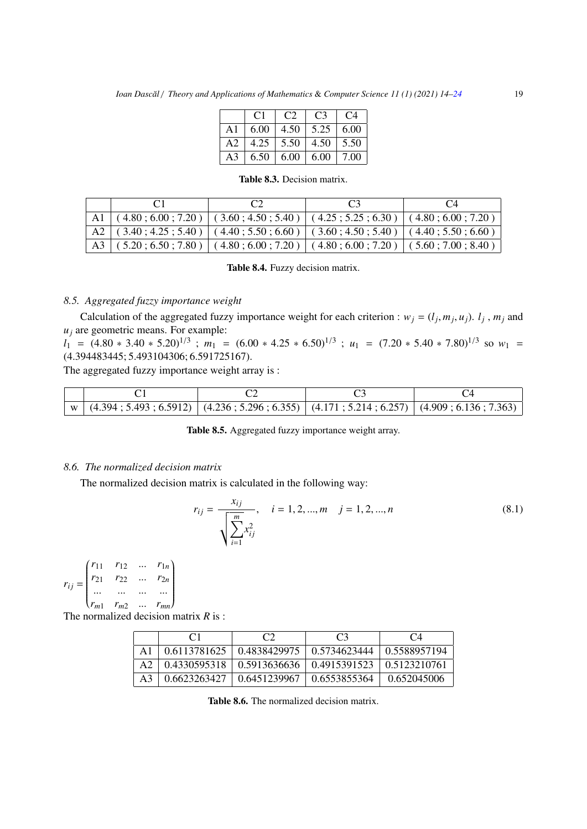|    | C1   | C <sub>2</sub> | C <sub>3</sub>      | C <sub>4</sub> |
|----|------|----------------|---------------------|----------------|
| A1 | 6.00 | 4.50           | $\frac{5.25}{5.25}$ | 6.00           |
| A2 | 4.25 | 5.50           | 4.50                | 5.50           |
| A3 | 6.50 | 6.00           | 6.00                | 7.00           |

Table 8.3. Decision matrix.

|                                                                                        |  | $\mathbf{C}$ |
|----------------------------------------------------------------------------------------|--|--------------|
| A1 $(4.80; 6.00; 7.20)$ $(3.60; 4.50; 5.40)$ $(4.25; 5.25; 6.30)$ $(4.80; 6.00; 7.20)$ |  |              |
| A2 $(3.40; 4.25; 5.40)$ $(4.40; 5.50; 6.60)$ $(3.60; 4.50; 5.40)$ $(4.40; 5.50; 6.60)$ |  |              |
| A3 $(5.20; 6.50; 7.80)$ $(4.80; 6.00; 7.20)$ $(4.80; 6.00; 7.20)$ $(5.60; 7.00; 8.40)$ |  |              |

Table 8.4. Fuzzy decision matrix.

## *8.5. Aggregated fuzzy importance weight*

Calculation of the aggregated fuzzy importance weight for each criterion :  $w_j = (l_j, m_j, u_j)$ .  $l_j$ ,  $m_j$  and re geometric means. For example:  $u_j$  are geometric means. For example:

 $l_1 = (4.80 * 3.40 * 5.20)^{1/3}$ ;  $m_1 = (6.00 * 4.25 * 6.50)^{1/3}$ ;  $u_1 = (7.20 * 5.40 * 7.80)^{1/3}$  so  $w_1 = (4.304483445 : 5.493104306 : 6.591725167)$ (4.394483445; 5.493104306; 6.591725167).

The aggregated fuzzy importance weight array is :

| $\vert$ w $\vert$ (4.394; 5.493; 6.5912) $\vert$ (4.236; 5.296; 6.355) $\vert$ (4.171; 5.214; 6.257) $\vert$ (4.909; 6.136; 7.363) |  |  |
|------------------------------------------------------------------------------------------------------------------------------------|--|--|

Table 8.5. Aggregated fuzzy importance weight array.

#### *8.6. The normalized decision matrix*

The normalized decision matrix is calculated in the following way:

$$
r_{ij} = \frac{x_{ij}}{\sqrt{\sum_{i=1}^{m} x_{ij}^2}}, \quad i = 1, 2, ..., m \quad j = 1, 2, ..., n
$$
 (8.1)

 $r_{ij} =$  $\begin{pmatrix} r_{11} & r_{12} & ... & r_{1n} \\ r_{21} & r_{22} & ... & r_{2n} \end{pmatrix}$  $\overline{\phantom{a}}$ *<sup>r</sup>*<sup>21</sup> *<sup>r</sup>*<sup>22</sup> ... *<sup>r</sup>*2*<sup>n</sup>* ... ... ... ...  $(r_{m1}$   $r_{m2}$  ...  $r_{mn}$  $\lambda$  $\begin{array}{c} \hline \end{array}$ 

The normalized decision matrix *R* is :

|                | ΩT                                                                             | C <sub>3</sub>                                              | C <sub>4</sub> |
|----------------|--------------------------------------------------------------------------------|-------------------------------------------------------------|----------------|
| A1             |                                                                                | $0.6113781625$   0.4838429975   0.5734623444   0.5588957194 |                |
| A <sub>2</sub> |                                                                                | 0.4330595318   0.5913636636   0.4915391523   0.5123210761   |                |
| A <sub>3</sub> | $\mid$ 0.6623263427 $\mid$ 0.6451239967 $\mid$ 0.6553855364 $\mid$ 0.652045006 |                                                             |                |

Table 8.6. The normalized decision matrix.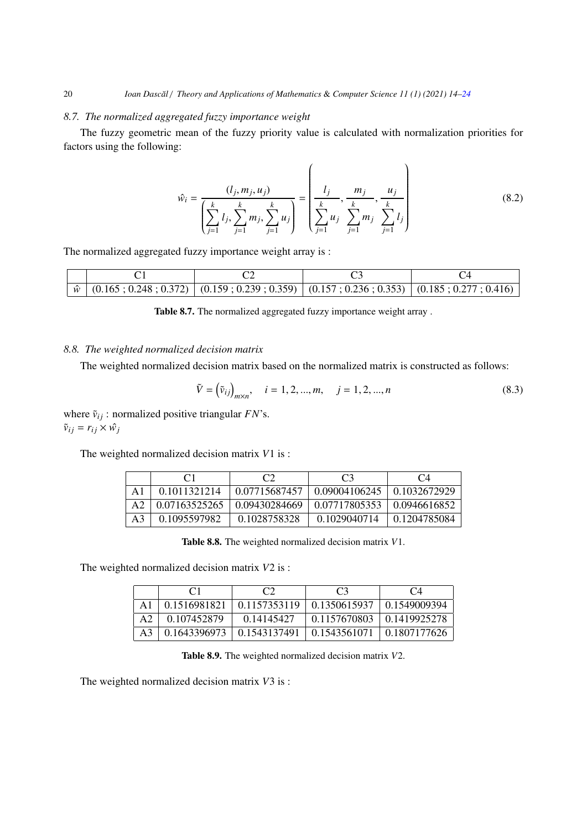### *8.7. The normalized aggregated fuzzy importance weight*

The fuzzy geometric mean of the fuzzy priority value is calculated with normalization priorities for factors using the following:

$$
\hat{w}_i = \frac{(l_j, m_j, u_j)}{\left(\sum_{j=1}^k l_j, \sum_{j=1}^k m_j, \sum_{j=1}^k u_j\right)} = \left(\frac{l_j}{\sum_{j=1}^k u_j}, \frac{m_j}{\sum_{j=1}^k m_j}, \frac{u_j}{\sum_{j=1}^k l_j}\right)
$$
(8.2)

The normalized aggregated fuzzy importance weight array is :

|  |  | $\hat{w}$ (0.165; 0.248; 0.372) (0.159; 0.239; 0.359) (0.157; 0.236; 0.353) (0.185; 0.277; 0.416) |
|--|--|---------------------------------------------------------------------------------------------------|

## *8.8. The weighted normalized decision matrix*

The weighted normalized decision matrix based on the normalized matrix is constructed as follows:

$$
\tilde{V} = (\tilde{v}_{ij})_{m \times n}, \quad i = 1, 2, ..., m, \quad j = 1, 2, ..., n
$$
\n(8.3)

where  $\tilde{v}_{ij}$  : normalized positive triangular  $FN$ 's.  $\tilde{v}_{ij} = r_{ij} \times \hat{w}_j$ 

The weighted normalized decision matrix *V*1 is :

|    |               |               | C <sub>3</sub>                         | $C_4$        |
|----|---------------|---------------|----------------------------------------|--------------|
|    | 0.1011321214  | 0.07715687457 | $\mid 0.09004106245 \mid 0.1032672929$ |              |
|    | 0.07163525265 | 0.09430284669 | 0.07717805353                          | 0.0946616852 |
| A3 | 0.1095597982  | 0.1028758328  | 0.1029040714                           | 0.1204785084 |

Table 8.8. The weighted normalized decision matrix *V*1.

The weighted normalized decision matrix *V*2 is :

|              |              | C <sup>2</sup> | $C_4$        |
|--------------|--------------|----------------|--------------|
| 0.1516981821 | 0.1157353119 | 0.1350615937   | 0.1549009394 |
| 0.107452879  | 0.14145427   | 0.1157670803   | 0.1419925278 |
| 0.1643396973 | 0.1543137491 | 0.1543561071   | 0.1807177626 |

Table 8.9. The weighted normalized decision matrix *V*2.

The weighted normalized decision matrix *V*3 is :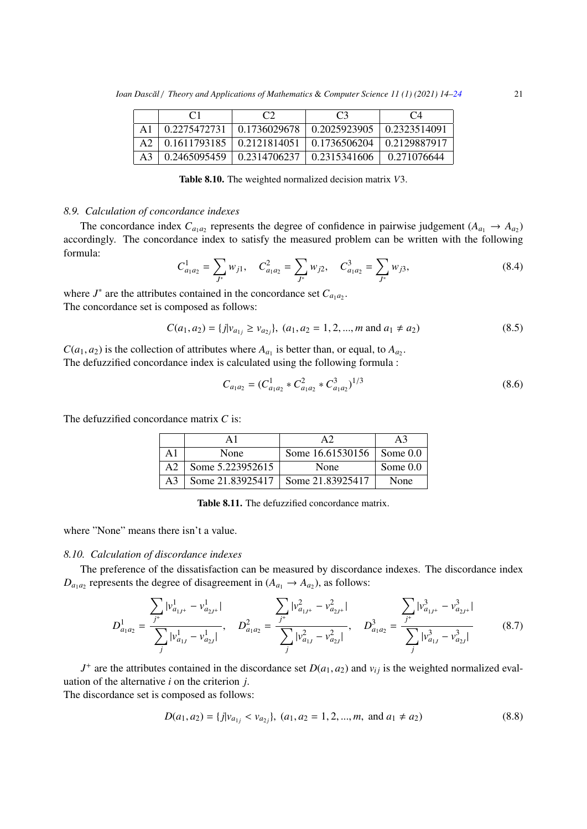|                |              | C2           | C <sup>3</sup> | $C_4$        |
|----------------|--------------|--------------|----------------|--------------|
| A1             | 0.2275472731 | 0.1736029678 | 0.2025923905   | 0.2323514091 |
| A <sub>2</sub> | 0.1611793185 | 0.2121814051 | 0.1736506204   | 0.2129887917 |
| A <sup>3</sup> | 0.2465095459 | 0.2314706237 | 0.2315341606   | 0.271076644  |

Table 8.10. The weighted normalized decision matrix *V*3.

#### *8.9. Calculation of concordance indexes*

The concordance index  $C_{a_1 a_2}$  represents the degree of confidence in pairwise judgement ( $A_{a_1} \rightarrow A_{a_2}$ ) accordingly. The concordance index to satisfy the measured problem can be written with the following formula:

$$
C_{a_1 a_2}^1 = \sum_{J^*} w_{j1}, \quad C_{a_1 a_2}^2 = \sum_{J^*} w_{j2}, \quad C_{a_1 a_2}^3 = \sum_{J^*} w_{j3}, \tag{8.4}
$$

where  $J^*$  are the attributes contained in the concordance set  $C_{a_1 a_2}$ . The concordance set is composed as follows:

$$
C(a_1, a_2) = \{j | v_{a_{1j}} \ge v_{a_{2j}}\}, (a_1, a_2 = 1, 2, ..., m \text{ and } a_1 \ne a_2)
$$
\n(8.5)

 $C(a_1, a_2)$  is the collection of attributes where  $A_{a_1}$  is better than, or equal, to  $A_{a_2}$ .<br>The defuzzified concordance index is calculated using the following formula: The defuzzified concordance index is calculated using the following formula :

$$
C_{a_1 a_2} = (C_{a_1 a_2}^1 * C_{a_1 a_2}^2 * C_{a_1 a_2}^3)^{1/3}
$$
\n(8.6)

The defuzzified concordance matrix *C* is:

|    |                                     |                               | A3         |
|----|-------------------------------------|-------------------------------|------------|
| А1 | None                                | Some $16.61530156$   Some 0.0 |            |
| A2 | Some 5.223952615                    | None                          | Some $0.0$ |
| A3 | Some 21.83925417   Some 21.83925417 |                               | None       |

Table 8.11. The defuzzified concordance matrix.

where "None" means there isn't a value.

## *8.10. Calculation of discordance indexes*

The preference of the dissatisfaction can be measured by discordance indexes. The discordance index  $D_{a_1 a_2}$  represents the degree of disagreement in  $(A_{a_1} \rightarrow A_{a_2})$ , as follows:

$$
D_{a_1 a_2}^1 = \frac{\sum_{j^+} |v_{a_{1j^+}}^1 - v_{a_{2j^+}}^1|}{\sum_{j} |v_{a_{1j}}^1 - v_{a_{2j}^1}^1}, \quad D_{a_1 a_2}^2 = \frac{\sum_{j^+} |v_{a_{1j^+}}^2 - v_{a_{2j^+}}^2|}{\sum_{j} |v_{a_{1j}}^2 - v_{a_{2j}^2}^2}, \quad D_{a_1 a_2}^3 = \frac{\sum_{j^+} |v_{a_{1j^+}}^3 - v_{a_{2j^+}}^3|}{\sum_{j} |v_{a_{1j}}^3 - v_{a_{2j}^2}^3}
$$
(8.7)

*J*<sup>+</sup> are the attributes contained in the discordance set  $D(a_1, a_2)$  and  $v_{ij}$  is the weighted normalized evaluation of the alternative *i* on the criterion *j*.

The discordance set is composed as follows:

$$
D(a_1, a_2) = \{j | v_{a_{1j}} < v_{a_{2j}}\}, (a_1, a_2 = 1, 2, ..., m, \text{ and } a_1 \neq a_2)
$$
\n(8.8)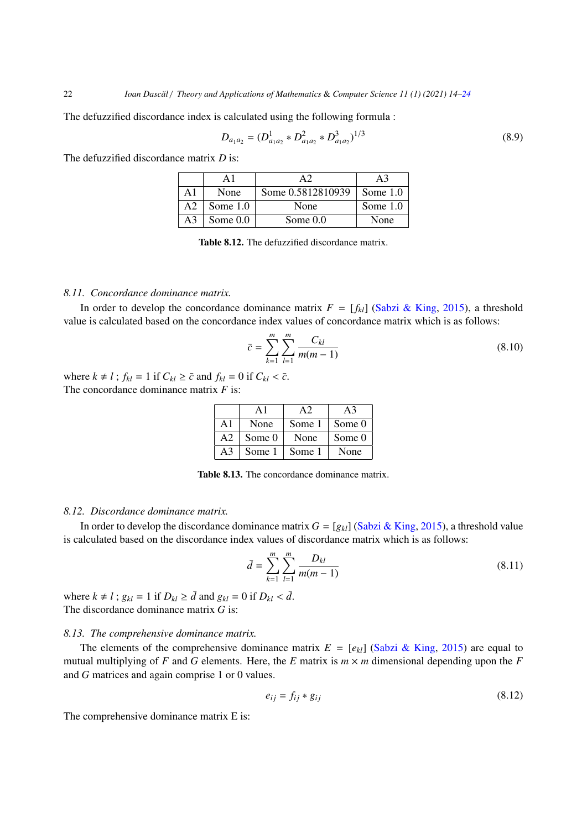The defuzzified discordance index is calculated using the following formula :

$$
D_{a_1 a_2} = (D_{a_1 a_2}^1 * D_{a_1 a_2}^2 * D_{a_1 a_2}^3)^{1/3}
$$
\n(8.9)

The defuzzified discordance matrix *D* is:

| A1 | None       | Some 0.5812810939 | Some $1.0$ |
|----|------------|-------------------|------------|
| А2 | Some $1.0$ | None              | Some $1.0$ |
| A3 | Some $0.0$ | Some $0.0$        | None       |

Table 8.12. The defuzzified discordance matrix.

#### *8.11. Concordance dominance matrix.*

In order to develop the concordance dominance matrix  $F = [f_{kl}]$  [\(Sabzi & King,](#page-10-8) [2015\)](#page-10-8), a threshold value is calculated based on the concordance index values of concordance matrix which is as follows:

$$
\bar{c} = \sum_{k=1}^{m} \sum_{l=1}^{m} \frac{C_{kl}}{m(m-1)}
$$
(8.10)

where  $k \neq l$ ;  $f_{kl} = 1$  if  $C_{kl} \geq \bar{c}$  and  $f_{kl} = 0$  if  $C_{kl} < \bar{c}$ . The concordance dominance matrix *F* is:

| A1             | None   | Some 1 | Some 0 |
|----------------|--------|--------|--------|
| A <sub>2</sub> | Some 0 | None   | Some 0 |
| A <sup>3</sup> | Some 1 | Some 1 | None   |

Table 8.13. The concordance dominance matrix.

#### *8.12. Discordance dominance matrix.*

In order to develop the discordance dominance matrix  $G = [g_{kl}]$  [\(Sabzi & King,](#page-10-8) [2015\)](#page-10-8), a threshold value is calculated based on the discordance index values of discordance matrix which is as follows:

$$
\bar{d} = \sum_{k=1}^{m} \sum_{l=1}^{m} \frac{D_{kl}}{m(m-1)}
$$
(8.11)

where  $k \neq l$ ;  $g_{kl} = 1$  if  $D_{kl} \geq \bar{d}$  and  $g_{kl} = 0$  if  $D_{kl} < \bar{d}$ . The discordance dominance matrix *G* is:

#### *8.13. The comprehensive dominance matrix.*

The elements of the comprehensive dominance matrix  $E = [e_{kl}]$  [\(Sabzi & King,](#page-10-8) [2015\)](#page-10-8) are equal to mutual multiplying of *F* and *G* elements. Here, the *E* matrix is  $m \times m$  dimensional depending upon the *F* and *G* matrices and again comprise 1 or 0 values.

$$
e_{ij} = f_{ij} * g_{ij} \tag{8.12}
$$

The comprehensive dominance matrix E is: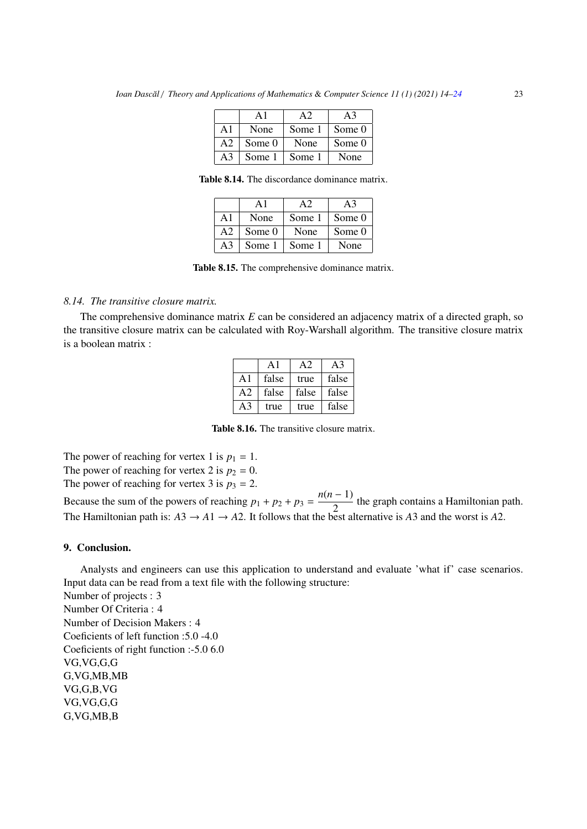|                | Αl     |        |        |
|----------------|--------|--------|--------|
| $\mathsf{A}1$  | None   | Some 1 | Some 0 |
| A <sub>2</sub> | Some 0 | None   | Some 0 |
| A <sup>3</sup> | Some 1 | Some 1 | None   |

Table 8.14. The discordance dominance matrix.

| A L            | None   | Some 1 | Some 0 |
|----------------|--------|--------|--------|
| A <sub>2</sub> | Some 0 | None   | Some 0 |
| $A^2$          | Some 1 | Some 1 | None   |

Table 8.15. The comprehensive dominance matrix.

## *8.14. The transitive closure matrix.*

The comprehensive dominance matrix *E* can be considered an adjacency matrix of a directed graph, so the transitive closure matrix can be calculated with Roy-Warshall algorithm. The transitive closure matrix is a boolean matrix :

|                | $\mathbf{A}$ 1 | A2    | A3    |
|----------------|----------------|-------|-------|
| $\mathsf{A}1$  | false          | true  | false |
| A <sub>2</sub> | false          | false | false |
| A3             | true           | true  | false |

Table 8.16. The transitive closure matrix.

The power of reaching for vertex 1 is  $p_1 = 1$ . The power of reaching for vertex 2 is  $p_2 = 0$ . The power of reaching for vertex 3 is  $p_3 = 2$ .

Because the sum of the powers of reaching  $p_1 + p_2 + p_3 = \frac{n(n-1)}{2}$  $\frac{1}{2}$  the graph contains a Hamiltonian path. The Hamiltonian path is:  $A3 \rightarrow A1 \rightarrow A2$ . It follows that the best alternative is  $A3$  and the worst is  $A2$ .

## 9. Conclusion.

Analysts and engineers can use this application to understand and evaluate 'what if' case scenarios. Input data can be read from a text file with the following structure:

Number of projects : 3 Number Of Criteria : 4 Number of Decision Makers : 4 Coeficients of left function :5.0 -4.0 Coeficients of right function :-5.0 6.0 VG,VG,G,G G,VG,MB,MB VG,G,B,VG VG,VG,G,G G,VG,MB,B